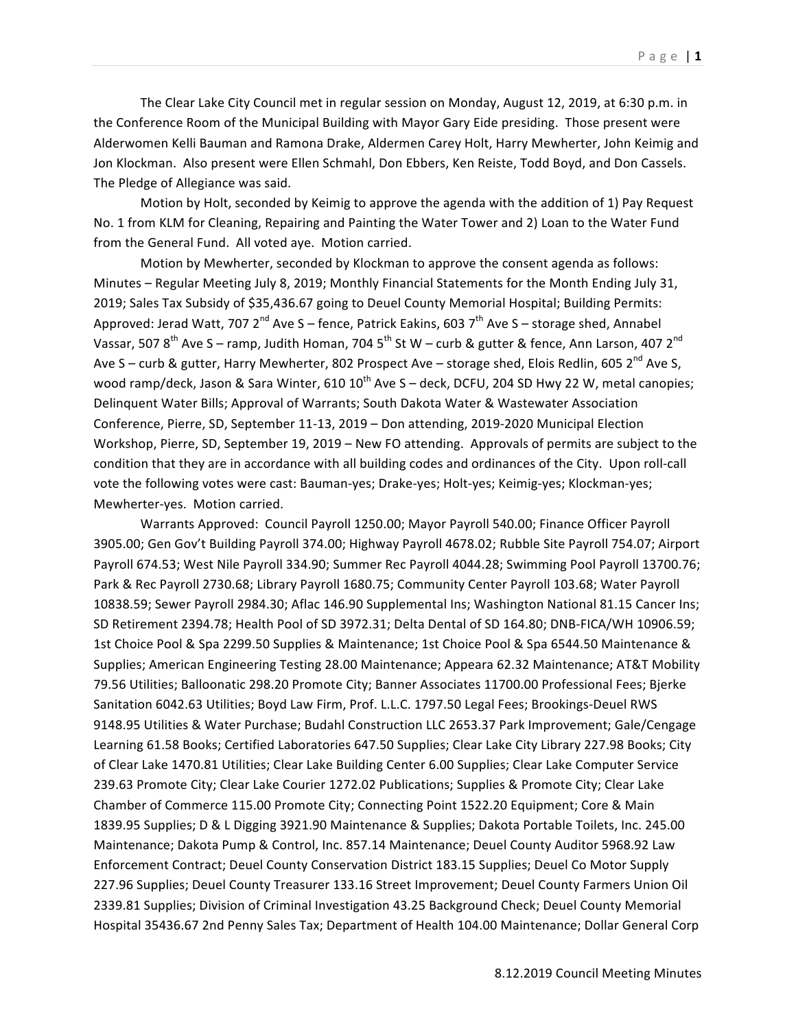The Clear Lake City Council met in regular session on Monday, August 12, 2019, at 6:30 p.m. in the Conference Room of the Municipal Building with Mayor Gary Eide presiding. Those present were Alderwomen Kelli Bauman and Ramona Drake, Aldermen Carey Holt, Harry Mewherter, John Keimig and Jon Klockman. Also present were Ellen Schmahl, Don Ebbers, Ken Reiste, Todd Boyd, and Don Cassels. The Pledge of Allegiance was said.

Motion by Holt, seconded by Keimig to approve the agenda with the addition of 1) Pay Request No. 1 from KLM for Cleaning, Repairing and Painting the Water Tower and 2) Loan to the Water Fund from the General Fund. All voted aye. Motion carried.

Motion by Mewherter, seconded by Klockman to approve the consent agenda as follows: Minutes - Regular Meeting July 8, 2019; Monthly Financial Statements for the Month Ending July 31, 2019; Sales Tax Subsidy of \$35,436.67 going to Deuel County Memorial Hospital; Building Permits: Approved: Jerad Watt, 707  $2^{nd}$  Ave S – fence, Patrick Eakins, 603  $7^{th}$  Ave S – storage shed, Annabel Vassar, 507  $8^{th}$  Ave S – ramp, Judith Homan, 704  $5^{th}$  St W – curb & gutter & fence, Ann Larson, 407  $2^{nd}$ Ave S – curb & gutter, Harry Mewherter, 802 Prospect Ave – storage shed, Elois Redlin, 605 2<sup>nd</sup> Ave S, wood ramp/deck, Jason & Sara Winter, 610 10<sup>th</sup> Ave S – deck, DCFU, 204 SD Hwy 22 W, metal canopies; Delinquent Water Bills; Approval of Warrants; South Dakota Water & Wastewater Association Conference, Pierre, SD, September 11-13, 2019 - Don attending, 2019-2020 Municipal Election Workshop, Pierre, SD, September 19, 2019 – New FO attending. Approvals of permits are subject to the condition that they are in accordance with all building codes and ordinances of the City. Upon roll-call vote the following votes were cast: Bauman-yes; Drake-yes; Holt-yes; Keimig-yes; Klockman-yes; Mewherter-yes. Motion carried.

Warrants Approved: Council Payroll 1250.00; Mayor Payroll 540.00; Finance Officer Payroll 3905.00; Gen Gov't Building Payroll 374.00; Highway Payroll 4678.02; Rubble Site Payroll 754.07; Airport Payroll 674.53; West Nile Payroll 334.90; Summer Rec Payroll 4044.28; Swimming Pool Payroll 13700.76; Park & Rec Payroll 2730.68; Library Payroll 1680.75; Community Center Payroll 103.68; Water Payroll 10838.59; Sewer Payroll 2984.30; Aflac 146.90 Supplemental Ins; Washington National 81.15 Cancer Ins; SD Retirement 2394.78; Health Pool of SD 3972.31; Delta Dental of SD 164.80; DNB-FICA/WH 10906.59; 1st Choice Pool & Spa 2299.50 Supplies & Maintenance; 1st Choice Pool & Spa 6544.50 Maintenance & Supplies; American Engineering Testing 28.00 Maintenance; Appeara 62.32 Maintenance; AT&T Mobility 79.56 Utilities; Balloonatic 298.20 Promote City; Banner Associates 11700.00 Professional Fees; Bjerke Sanitation 6042.63 Utilities; Boyd Law Firm, Prof. L.L.C. 1797.50 Legal Fees; Brookings-Deuel RWS 9148.95 Utilities & Water Purchase; Budahl Construction LLC 2653.37 Park Improvement; Gale/Cengage Learning 61.58 Books; Certified Laboratories 647.50 Supplies; Clear Lake City Library 227.98 Books; City of Clear Lake 1470.81 Utilities; Clear Lake Building Center 6.00 Supplies; Clear Lake Computer Service 239.63 Promote City; Clear Lake Courier 1272.02 Publications; Supplies & Promote City; Clear Lake Chamber of Commerce 115.00 Promote City; Connecting Point 1522.20 Equipment; Core & Main 1839.95 Supplies; D & L Digging 3921.90 Maintenance & Supplies; Dakota Portable Toilets, Inc. 245.00 Maintenance; Dakota Pump & Control, Inc. 857.14 Maintenance; Deuel County Auditor 5968.92 Law Enforcement Contract; Deuel County Conservation District 183.15 Supplies; Deuel Co Motor Supply 227.96 Supplies; Deuel County Treasurer 133.16 Street Improvement; Deuel County Farmers Union Oil 2339.81 Supplies; Division of Criminal Investigation 43.25 Background Check; Deuel County Memorial Hospital 35436.67 2nd Penny Sales Tax; Department of Health 104.00 Maintenance; Dollar General Corp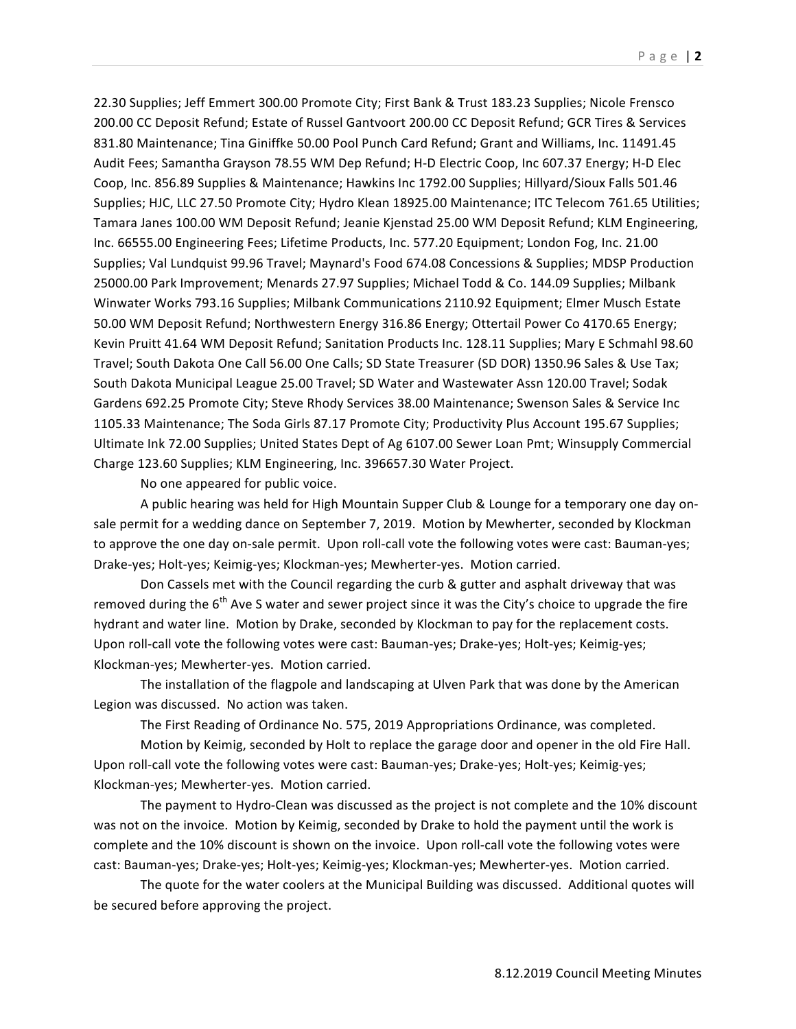22.30 Supplies; Jeff Emmert 300.00 Promote City; First Bank & Trust 183.23 Supplies; Nicole Frensco 200.00 CC Deposit Refund; Estate of Russel Gantvoort 200.00 CC Deposit Refund; GCR Tires & Services 831.80 Maintenance; Tina Giniffke 50.00 Pool Punch Card Refund; Grant and Williams, Inc. 11491.45 Audit Fees; Samantha Grayson 78.55 WM Dep Refund; H-D Electric Coop, Inc 607.37 Energy; H-D Elec Coop, Inc. 856.89 Supplies & Maintenance; Hawkins Inc 1792.00 Supplies; Hillyard/Sioux Falls 501.46 Supplies; HJC, LLC 27.50 Promote City; Hydro Klean 18925.00 Maintenance; ITC Telecom 761.65 Utilities; Tamara Janes 100.00 WM Deposit Refund; Jeanie Kjenstad 25.00 WM Deposit Refund; KLM Engineering, Inc. 66555.00 Engineering Fees; Lifetime Products, Inc. 577.20 Equipment; London Fog, Inc. 21.00 Supplies; Val Lundquist 99.96 Travel; Maynard's Food 674.08 Concessions & Supplies; MDSP Production 25000.00 Park Improvement; Menards 27.97 Supplies; Michael Todd & Co. 144.09 Supplies; Milbank Winwater Works 793.16 Supplies; Milbank Communications 2110.92 Equipment; Elmer Musch Estate 50.00 WM Deposit Refund; Northwestern Energy 316.86 Energy; Ottertail Power Co 4170.65 Energy; Kevin Pruitt 41.64 WM Deposit Refund; Sanitation Products Inc. 128.11 Supplies; Mary E Schmahl 98.60 Travel; South Dakota One Call 56.00 One Calls; SD State Treasurer (SD DOR) 1350.96 Sales & Use Tax; South Dakota Municipal League 25.00 Travel; SD Water and Wastewater Assn 120.00 Travel; Sodak Gardens 692.25 Promote City; Steve Rhody Services 38.00 Maintenance; Swenson Sales & Service Inc 1105.33 Maintenance; The Soda Girls 87.17 Promote City; Productivity Plus Account 195.67 Supplies; Ultimate Ink 72.00 Supplies; United States Dept of Ag 6107.00 Sewer Loan Pmt; Winsupply Commercial Charge 123.60 Supplies; KLM Engineering, Inc. 396657.30 Water Project.

No one appeared for public voice.

A public hearing was held for High Mountain Supper Club & Lounge for a temporary one day onsale permit for a wedding dance on September 7, 2019. Motion by Mewherter, seconded by Klockman to approve the one day on-sale permit. Upon roll-call vote the following votes were cast: Bauman-yes; Drake-yes; Holt-yes; Keimig-yes; Klockman-yes; Mewherter-yes. Motion carried.

Don Cassels met with the Council regarding the curb & gutter and asphalt driveway that was removed during the  $6<sup>th</sup>$  Ave S water and sewer project since it was the City's choice to upgrade the fire hydrant and water line. Motion by Drake, seconded by Klockman to pay for the replacement costs. Upon roll-call vote the following votes were cast: Bauman-yes; Drake-yes; Holt-yes; Keimig-yes; Klockman-yes; Mewherter-yes. Motion carried.

The installation of the flagpole and landscaping at Ulven Park that was done by the American Legion was discussed. No action was taken.

The First Reading of Ordinance No. 575, 2019 Appropriations Ordinance, was completed.

Motion by Keimig, seconded by Holt to replace the garage door and opener in the old Fire Hall. Upon roll-call vote the following votes were cast: Bauman-yes; Drake-yes; Holt-yes; Keimig-yes; Klockman-yes; Mewherter-yes. Motion carried.

The payment to Hydro-Clean was discussed as the project is not complete and the 10% discount was not on the invoice. Motion by Keimig, seconded by Drake to hold the payment until the work is complete and the 10% discount is shown on the invoice. Upon roll-call vote the following votes were cast: Bauman-yes; Drake-yes; Holt-yes; Keimig-yes; Klockman-yes; Mewherter-yes. Motion carried.

The quote for the water coolers at the Municipal Building was discussed. Additional quotes will be secured before approving the project.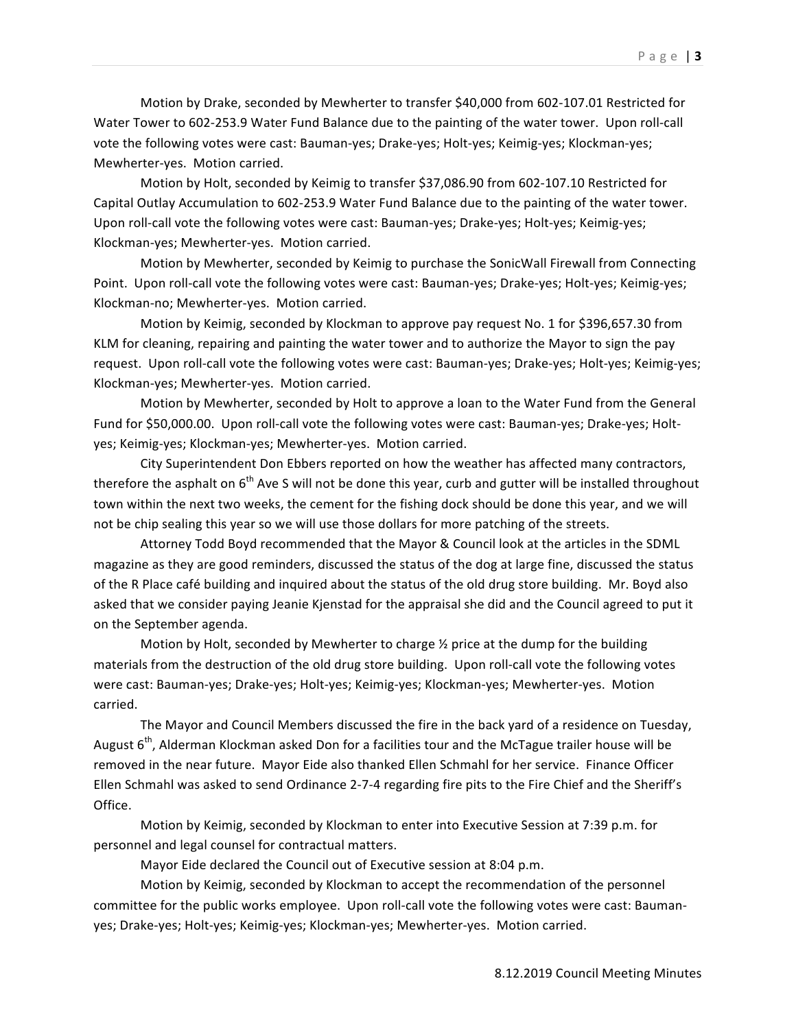Motion by Drake, seconded by Mewherter to transfer \$40,000 from 602-107.01 Restricted for Water Tower to 602-253.9 Water Fund Balance due to the painting of the water tower. Upon roll-call vote the following votes were cast: Bauman-yes; Drake-yes; Holt-yes; Keimig-yes; Klockman-yes; Mewherter-yes. Motion carried.

Motion by Holt, seconded by Keimig to transfer \$37,086.90 from 602-107.10 Restricted for Capital Outlay Accumulation to 602-253.9 Water Fund Balance due to the painting of the water tower. Upon roll-call vote the following votes were cast: Bauman-yes; Drake-yes; Holt-yes; Keimig-yes; Klockman-yes; Mewherter-yes. Motion carried.

Motion by Mewherter, seconded by Keimig to purchase the SonicWall Firewall from Connecting Point. Upon roll-call vote the following votes were cast: Bauman-yes; Drake-yes; Holt-yes; Keimig-yes; Klockman-no; Mewherter-yes. Motion carried.

Motion by Keimig, seconded by Klockman to approve pay request No. 1 for \$396,657.30 from KLM for cleaning, repairing and painting the water tower and to authorize the Mayor to sign the pay request. Upon roll-call vote the following votes were cast: Bauman-yes; Drake-yes; Holt-yes; Keimig-yes; Klockman-yes; Mewherter-yes. Motion carried.

Motion by Mewherter, seconded by Holt to approve a loan to the Water Fund from the General Fund for \$50,000.00. Upon roll-call vote the following votes were cast: Bauman-yes; Drake-yes; Holtyes; Keimig-yes; Klockman-yes; Mewherter-yes. Motion carried.

City Superintendent Don Ebbers reported on how the weather has affected many contractors, therefore the asphalt on 6<sup>th</sup> Ave S will not be done this year, curb and gutter will be installed throughout town within the next two weeks, the cement for the fishing dock should be done this year, and we will not be chip sealing this year so we will use those dollars for more patching of the streets.

Attorney Todd Boyd recommended that the Mayor & Council look at the articles in the SDML magazine as they are good reminders, discussed the status of the dog at large fine, discussed the status of the R Place café building and inquired about the status of the old drug store building. Mr. Boyd also asked that we consider paying Jeanie Kjenstad for the appraisal she did and the Council agreed to put it on the September agenda.

Motion by Holt, seconded by Mewherter to charge  $\frac{1}{2}$  price at the dump for the building materials from the destruction of the old drug store building. Upon roll-call vote the following votes were cast: Bauman-yes; Drake-yes; Holt-yes; Keimig-yes; Klockman-yes; Mewherter-yes. Motion carried.

The Mayor and Council Members discussed the fire in the back yard of a residence on Tuesday, August  $6<sup>th</sup>$ , Alderman Klockman asked Don for a facilities tour and the McTague trailer house will be removed in the near future. Mayor Eide also thanked Ellen Schmahl for her service. Finance Officer Ellen Schmahl was asked to send Ordinance 2-7-4 regarding fire pits to the Fire Chief and the Sheriff's Office.

Motion by Keimig, seconded by Klockman to enter into Executive Session at 7:39 p.m. for personnel and legal counsel for contractual matters.

Mayor Eide declared the Council out of Executive session at 8:04 p.m.

Motion by Keimig, seconded by Klockman to accept the recommendation of the personnel committee for the public works employee. Upon roll-call vote the following votes were cast: Baumanyes; Drake-yes; Holt-yes; Keimig-yes; Klockman-yes; Mewherter-yes. Motion carried.